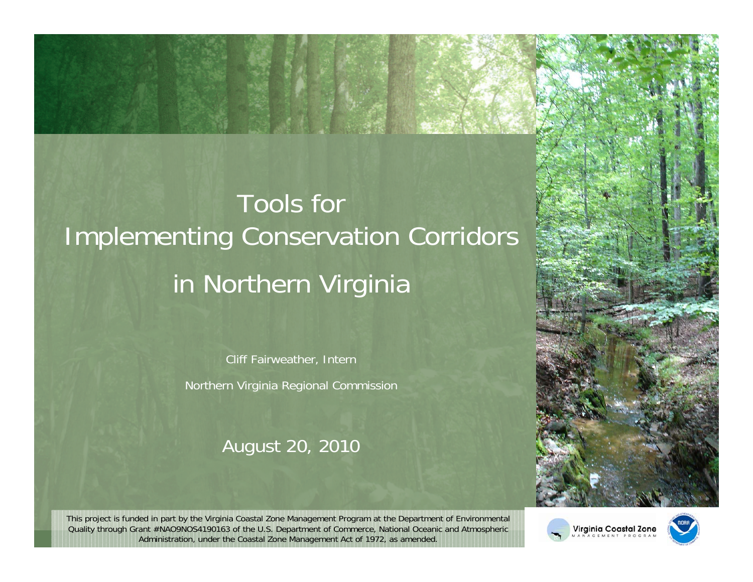## Tools for Implementing Conservation Corridors in Northern Virginia

Cliff Fairweather, Intern Northern Virginia Regional Commission

#### August 20, 2010



This project is funded in part by the Virginia Coastal Zone Management Program at the Department of Environmental Quality through Grant #NAO9NOS4190163 of the U.S. Department of Commerce, National Oceanic and Atmospheric Administration, under the Coastal Zone Management Act of 1972, as amended.



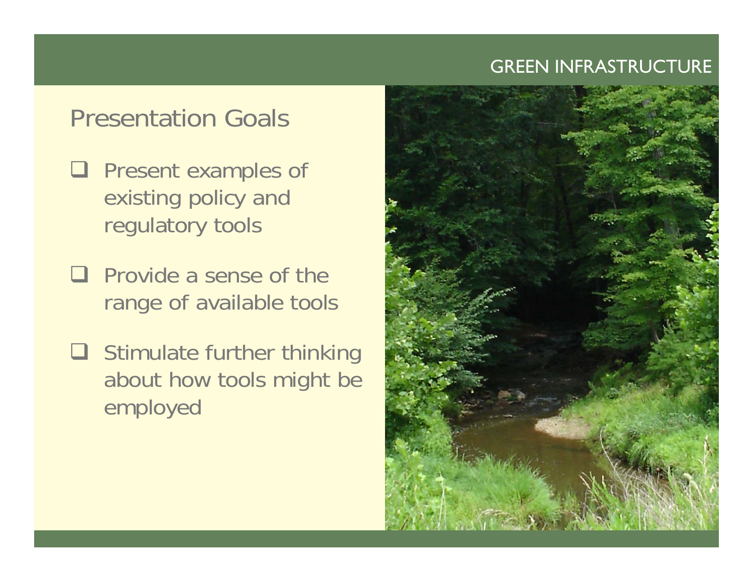## Presentation Goals

- **Q** Present examples of existing policy and regulatory tools
- $\Box$  Provide a sense of the range of available tools
- $\Box$  Stimulate further thinking about how tools might be employed

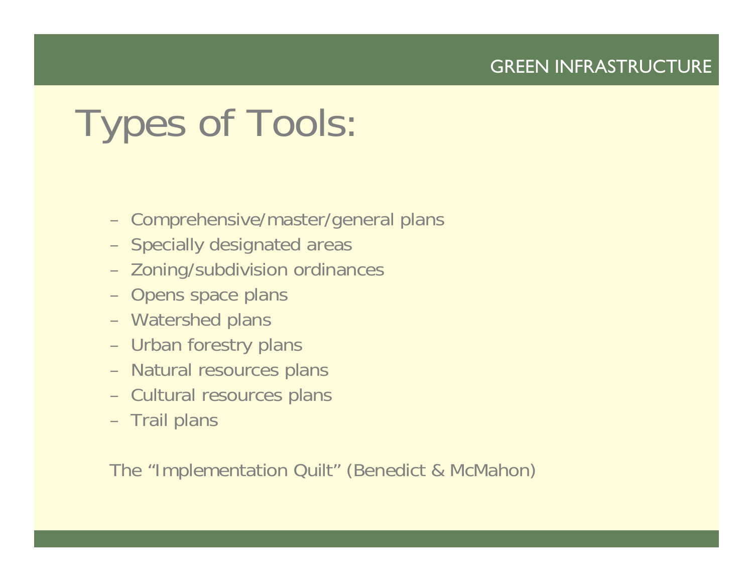# Types of Tools:

- –Comprehensive/master/general plans
- –Specially designated areas
- Zoning/subdivision ordinances
- Opens space plans
- Watershed plans
- –Urban forestry plans
- –Natural resources plans
- –Cultural resources plans
- Trail plans

The "Implementation Quilt" (Benedict & McMahon)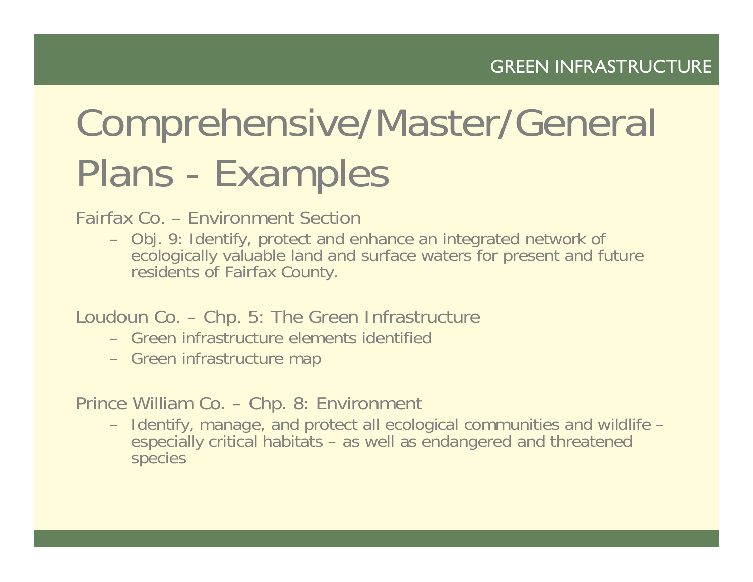# Comprehensive/Master/General Plans - Examples

Fairfax Co. – Environment Section

- Obj. 9: Identify, protect and enhance an integrated network of ecologically valuable land and surface waters for present and future residents of Fairfax County.
- Loudoun Co. Chp. 5: The Green Infrastructure
	- Green infrastructure elements identified
	- Green infrastructure map

Prince William Co. – Chp. 8: Environment

– Identify, manage, and protect all ecological communities and wildlife – especially critical habitats – as well as endangered and threatened species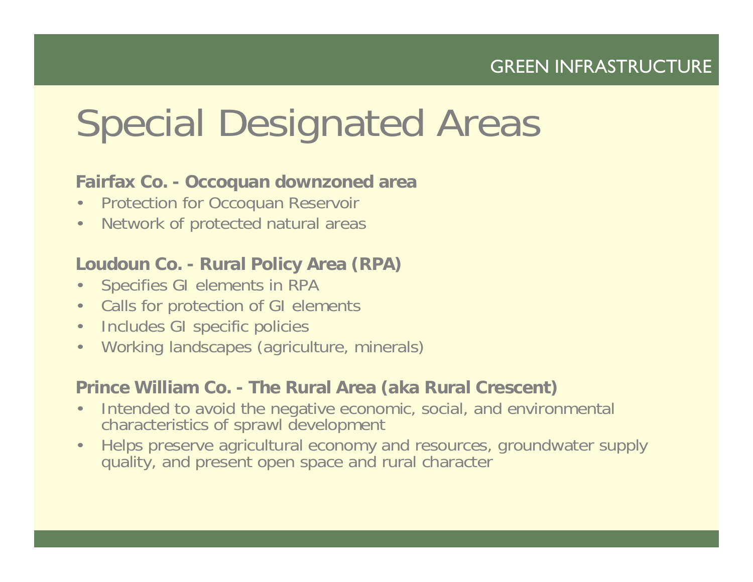## Special Designated Areas

#### **Fairfax Co. - Occoquan downzoned area**

- •Protection for Occoquan Reservoir
- •Network of protected natural areas

#### **Loudoun Co. - Rural Policy Area (RPA)**

- $\bullet$ Specifies GI elements in RPA
- Calls for protection of GI elements
- Includes GI specific policies
- •Working landscapes (agriculture, minerals)

#### **Prince William Co. - The Rural Area (aka Rural Crescent)**

- • Intended to avoid the negative economic, social, and environmental characteristics of sprawl development
- • Helps preserve agricultural economy and resources, groundwater supply quality, and present open space and rural character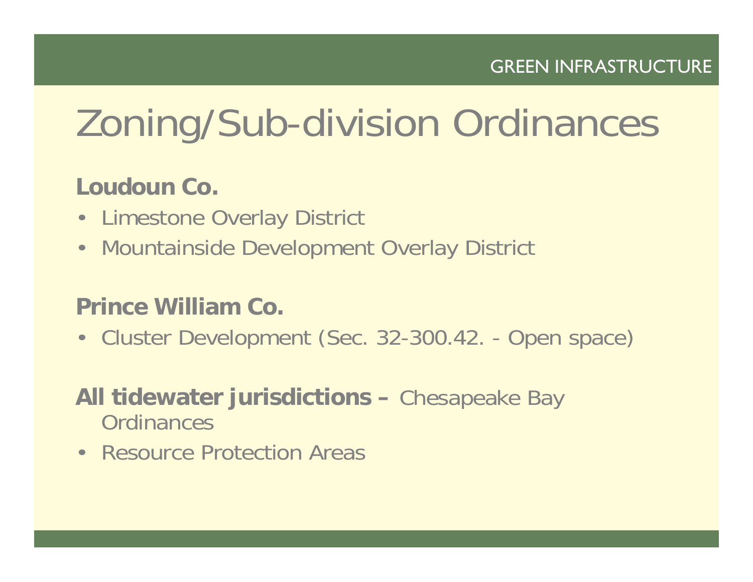# Zoning/Sub-division Ordinances

## **Loudoun Co.**

- Limestone Overlay District
- Mountainside Development Overlay District

## **Prince William Co.**

• Cluster Development (Sec. 32-300.42. - Open space)

### **All tidewater jurisdictions –** Chesapeake Bay **Ordinances**

• Resource Protection Areas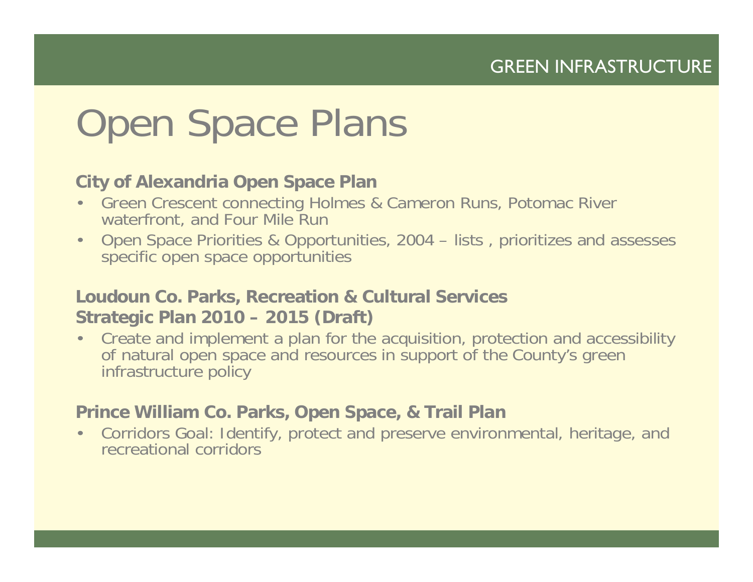## Open Space Plans

#### **City of Alexandria Open Space Plan**

- $\bullet$  Green Crescent connecting Holmes & Cameron Runs, Potomac River waterfront, and Four Mile Run
- • Open Space Priorities & Opportunities, 2004 – lists , prioritizes and assesses specific open space opportunities

#### **Loudoun Co. Parks, Recreation & Cultural Services Strategic Plan 2010 – 2015 (Draft)**

• Create and implement a plan for the acquisition, protection and accessibility of natural open space and resources in support of the County's green infrastructure policy

#### **Prince William Co. Parks, Open Space, & Trail Plan**

• Corridors Goal: Identify, protect and preserve environmental, heritage, and recreational corridors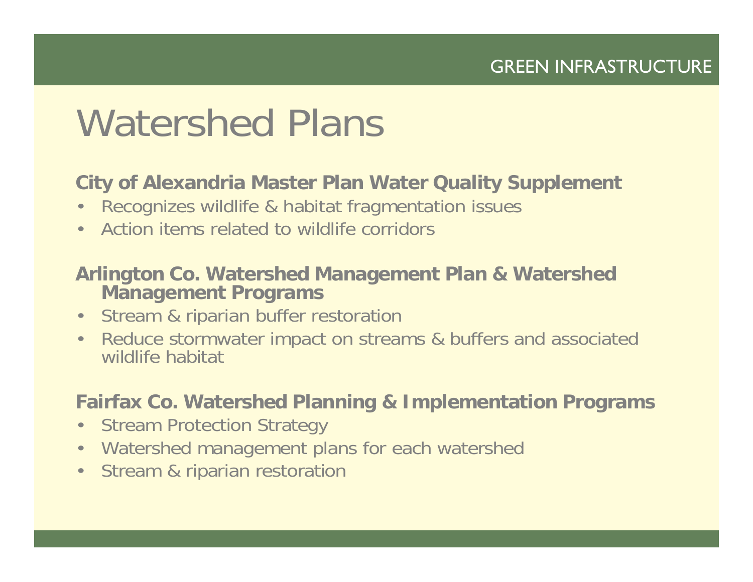## Watershed Plans

#### **City of Alexandria Master Plan Water Quality Supplement**

- •Recognizes wildlife & habitat fragmentation issues
- •Action items related to wildlife corridors

#### **Arlington Co. Watershed Management Plan & Watershed Management Programs**

- •Stream & riparian buffer restoration
- • Reduce stormwater impact on streams & buffers and associated wildlife habitat

#### **Fairfax Co. Watershed Planning & Implementation Programs**

- •Stream Protection Strategy
- •Watershed management plans for each watershed
- •Stream & riparian restoration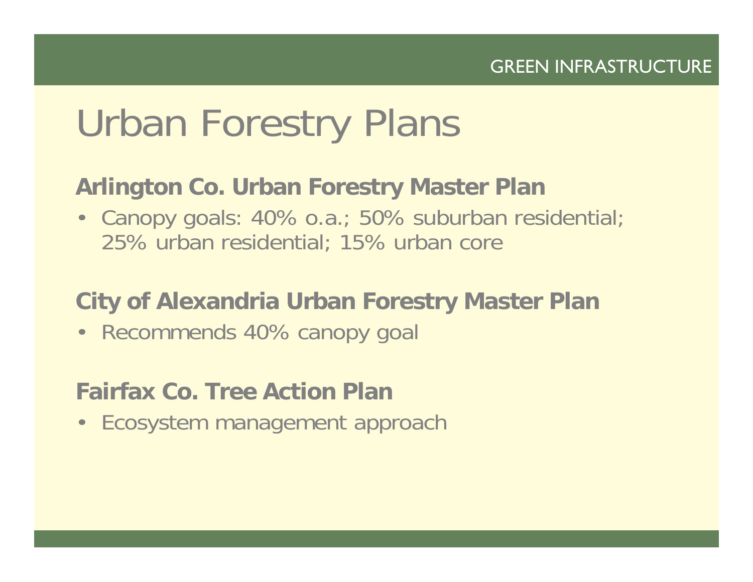## Urban Forestry Plans

### **Arlington Co. Urban Forestry Master Plan**

• Canopy goals: 40% o.a.; 50% suburban residential; 25% urban residential; 15% urban core

### **City of Alexandria Urban Forestry Master Plan**

• Recommends 40% canopy goal

### **Fairfax Co. Tree Action Plan**

• Ecosystem management approach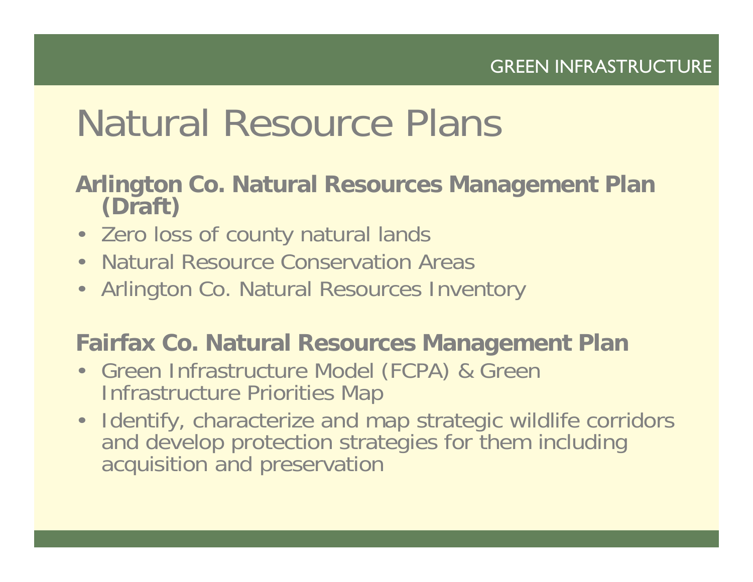## Natural Resource Plans

# **Arlington Co. Natural Resources Management Plan (Draft)**

- Zero loss of county natural lands
- Natural Resource Conservation Areas
- Arlington Co. Natural Resources Inventory

### **Fairfax Co. Natural Resources Management Plan**

- Green Infrastructure Model (FCPA) & Green Infrastructure Priorities Map
- Identify, characterize and map strategic wildlife corridors and develop protection strategies for them including acquisition and preservation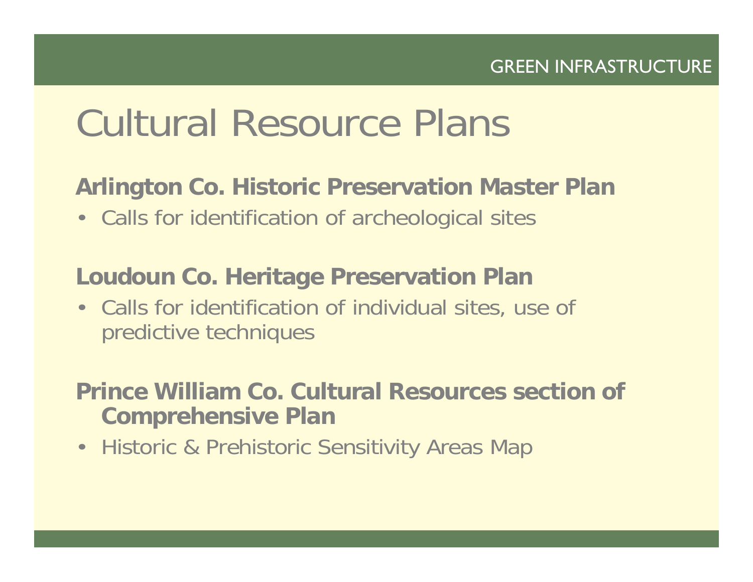## Cultural Resource Plans

### **Arlington Co. Historic Preservation Master Plan**

• Calls for identification of archeological sites

### **Loudoun Co. Heritage Preservation Plan**

• Calls for identification of individual sites, use of predictive techniques

### **Prince William Co. Cultural Resources section of Comprehensive Plan**

• Historic & Prehistoric Sensitivity Areas Map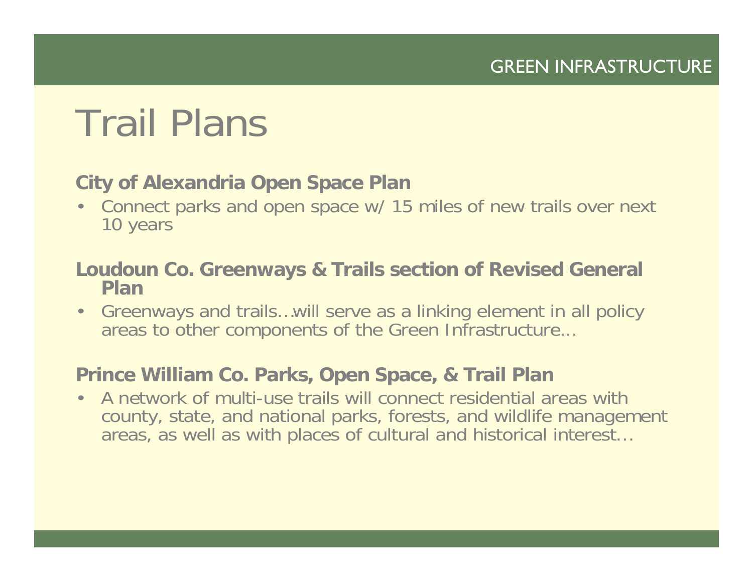## Trail Plans

#### **City of Alexandria Open Space Plan**

• Connect parks and open space w/ 15 miles of new trails over next 10 years

#### **Loudoun Co. Greenways & Trails section of Revised General Plan**

• Greenways and trails…will serve as a linking element in all policy areas to other components of the Green Infrastructure...

#### **Prince William Co. Parks, Open Space, & Trail Plan**

• A network of multi-use trails will connect residential areas with county, state, and national parks, forests, and wildlife management areas, as well as with places of cultural and historical interest…